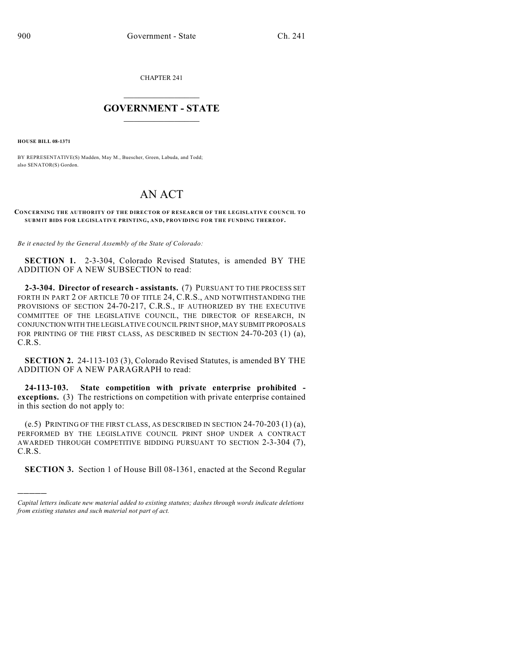CHAPTER 241

## $\overline{\phantom{a}}$  . The set of the set of the set of the set of the set of the set of the set of the set of the set of the set of the set of the set of the set of the set of the set of the set of the set of the set of the set o **GOVERNMENT - STATE**  $\_$

**HOUSE BILL 08-1371**

)))))

BY REPRESENTATIVE(S) Madden, May M., Buescher, Green, Labuda, and Todd; also SENATOR(S) Gordon.

## AN ACT

## **CONCERNING THE AUTHORITY OF THE DIRECTOR OF RESEARCH OF THE LEGISLATIVE COUNCIL TO SUBM IT BIDS FOR LEGISLATIVE PRINTING, AND, PROVIDING FOR THE FUNDING THEREOF.**

*Be it enacted by the General Assembly of the State of Colorado:*

**SECTION 1.** 2-3-304, Colorado Revised Statutes, is amended BY THE ADDITION OF A NEW SUBSECTION to read:

**2-3-304. Director of research - assistants.** (7) PURSUANT TO THE PROCESS SET FORTH IN PART 2 OF ARTICLE 70 OF TITLE 24, C.R.S., AND NOTWITHSTANDING THE PROVISIONS OF SECTION 24-70-217, C.R.S., IF AUTHORIZED BY THE EXECUTIVE COMMITTEE OF THE LEGISLATIVE COUNCIL, THE DIRECTOR OF RESEARCH, IN CONJUNCTION WITH THE LEGISLATIVE COUNCIL PRINT SHOP, MAY SUBMIT PROPOSALS FOR PRINTING OF THE FIRST CLASS, AS DESCRIBED IN SECTION 24-70-203 (1) (a), C.R.S.

**SECTION 2.** 24-113-103 (3), Colorado Revised Statutes, is amended BY THE ADDITION OF A NEW PARAGRAPH to read:

**24-113-103. State competition with private enterprise prohibited exceptions.** (3) The restrictions on competition with private enterprise contained in this section do not apply to:

(e.5) PRINTING OF THE FIRST CLASS, AS DESCRIBED IN SECTION 24-70-203 (1) (a), PERFORMED BY THE LEGISLATIVE COUNCIL PRINT SHOP UNDER A CONTRACT AWARDED THROUGH COMPETITIVE BIDDING PURSUANT TO SECTION 2-3-304 (7), C.R.S.

**SECTION 3.** Section 1 of House Bill 08-1361, enacted at the Second Regular

*Capital letters indicate new material added to existing statutes; dashes through words indicate deletions from existing statutes and such material not part of act.*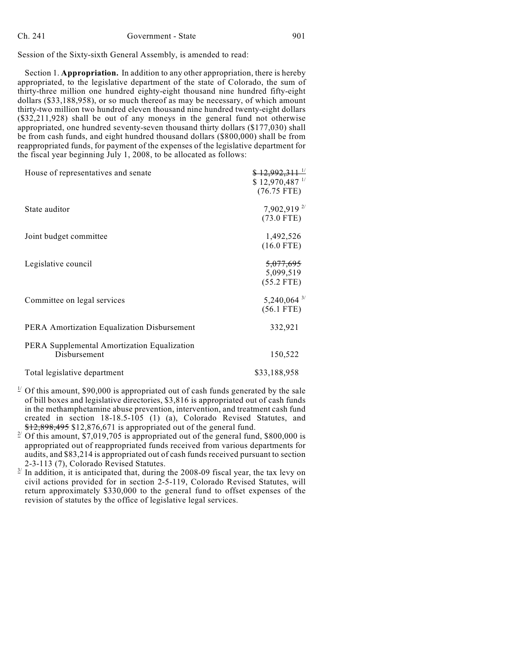Session of the Sixty-sixth General Assembly, is amended to read:

Section 1. **Appropriation.** In addition to any other appropriation, there is hereby appropriated, to the legislative department of the state of Colorado, the sum of thirty-three million one hundred eighty-eight thousand nine hundred fifty-eight dollars (\$33,188,958), or so much thereof as may be necessary, of which amount thirty-two million two hundred eleven thousand nine hundred twenty-eight dollars (\$32,211,928) shall be out of any moneys in the general fund not otherwise appropriated, one hundred seventy-seven thousand thirty dollars (\$177,030) shall be from cash funds, and eight hundred thousand dollars (\$800,000) shall be from reappropriated funds, for payment of the expenses of the legislative department for the fiscal year beginning July 1, 2008, to be allocated as follows:

| House of representatives and senate                         | $$12,992,311$ $^{1/2}$<br>$$12,970,487$ $^{1/2}$<br>$(76.75$ FTE) |
|-------------------------------------------------------------|-------------------------------------------------------------------|
| State auditor                                               | 7,902,919 <sup>2/</sup><br>$(73.0$ FTE)                           |
| Joint budget committee                                      | 1,492,526<br>$(16.0$ FTE)                                         |
| Legislative council                                         | <del>5,077,695</del><br>5,099,519<br>$(55.2$ FTE)                 |
| Committee on legal services                                 | $5,240,064$ <sup>3/</sup><br>$(56.1$ FTE)                         |
| PERA Amortization Equalization Disbursement                 | 332,921                                                           |
| PERA Supplemental Amortization Equalization<br>Disbursement | 150,522                                                           |
| Total legislative department                                | \$33,188,958                                                      |

- <sup>1</sup> Of this amount, \$90,000 is appropriated out of cash funds generated by the sale of bill boxes and legislative directories, \$3,816 is appropriated out of cash funds in the methamphetamine abuse prevention, intervention, and treatment cash fund created in section 18-18.5-105 (1) (a), Colorado Revised Statutes, and \$12,898,495 \$12,876,671 is appropriated out of the general fund.
- $2^{2}$  Of this amount, \$7,019,705 is appropriated out of the general fund, \$800,000 is appropriated out of reappropriated funds received from various departments for audits, and \$83,214 is appropriated out of cash funds received pursuant to section 2-3-113 (7), Colorado Revised Statutes.
- $3<sup>1</sup>$  In addition, it is anticipated that, during the 2008-09 fiscal year, the tax levy on civil actions provided for in section 2-5-119, Colorado Revised Statutes, will return approximately \$330,000 to the general fund to offset expenses of the revision of statutes by the office of legislative legal services.